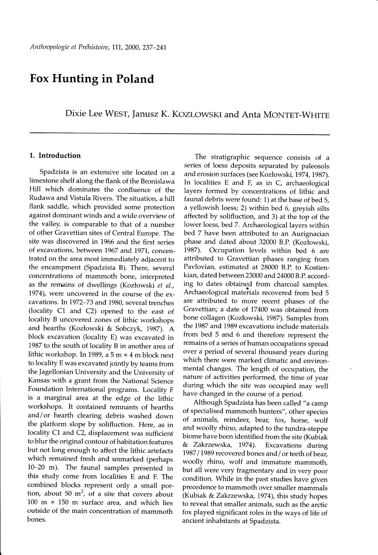# Fox Hunting in Poland

Dixie Lee WEST, Janusz K. KOZŁOWSKI and Anta MONTET-WHITE

## 1. Introduction

Spadzista is an extensive site located on a limestone shelf along the flank of the Bronislawa Hill which dominates the confluence of the Rudawa and Vistula Rivers. The situation, a hill flank saddle, which provided some protection against dominant winds and a wide overview of the valley, is comparable to that of a number of other Gravettian sites of Central Europe. The site was discovered in L966 and the first series of excavations, between 7967 and 1977, concentrated on the area most immediately adjacent to the encampment (Spadzista B). There, several concentrations of mammoth bone, interpreted as the remains of dwellings (Kozłowski et al., 1974), were uncovered in the course of the excavations. In 1972-73 and 1980, several trenches (locality C1 and C2) opened to the east of locality B uncovered zones of lithic workshops and hearths (Kozlowski & Sobczyk, I9B7). A block excavation (locality E) was excavated in 7987 to the south of locality B in another area of lithic workshop. In 1989, a 5 m  $\times$  4 m block next to locality E was excavated jointly by teams from the Jagellonian University and the University of Kansas with a grant from the National Science Foundation International programs. Locality F is a marginal area at the edge of the lithic workshops. It contained remnants of hearths and/or hearth clearing debris washed down the platform slope by solifluction. Here, as in locality C1 and C2, displacement was sufficient to blur the original contour of habitation features but not long enough to affect the lithic artefacts which remained fresh and unmarked (perhaps 10-20 m). The faunal samples presented in this study come from localities E and F. The combined blocks represent only a small portion, about 50  $m^2$ , of a site that covers about 100 m  $\times$  150 m surface area, and which lies outside of the main concentration of mammoth bones.

The stratigraphic sequence consists of a series of loess deposits separated by paleosols and erosion surfaces (see Kozłowski, 1974, 1987). In localities E and F, as in C, archaeological layers formed by concentrations of lithic and faunal debris were found: 1) at the base of bed 5, a yellowish loess; 2) within bed 6, greyish silts affected by solifluction, and 3) at the top of the lower loess, bed7. Archaeological layers within bed 7 have been attributed to an Aurignacian phase and dated about 32000 B.P. (Kozlowski, 1987). Occupation levels within bed 6 are attributed to Gravettian phases ranging from Pavlovian, estimated at 28000 B.P. to Kostienkian, dated between 23000 and 24000 B.P. according to dates obtained from charcoal samples. Archaeological materials recovered from bed 5 are attributed to more recent phases of the Gravettian; a date of 17400 was obtained from bone collagen (Kozlowski, 1987). Samples from the 1987 and 1989 excavations include materials from bed 5 and 6 and therefore represent the remains of a series of human occupations spread over a period of several thousand years during which there were marked climatic and environmental changes. The length of occupation, the nature of activities performed, the time of year during which the site was occupied may well have changed in the course of a period.

Although Spadzista has been called " a camp of specialised mammoth hunters", other species of animals, reindeer, bear, fox, horse, wolf and woolly rhino, adapted to the tundra-steppe biome have been identified from the site (Kubiak & Zakrzewska, 1974). Excavations during 1987/1989 recovered bones and/or teeth of bear, woolly rhino, wolf and immafure mammoth, but all were very fragmentary and in very poor condition. While in the past studies have given precedence to mammoth over smaller mammals (Kubiak & Zakrzewska, 1974), this study hopes to reveal that smaller animals, such as the arctic fox played significant roles in the ways of life of ancient inhabitants at Spadzista.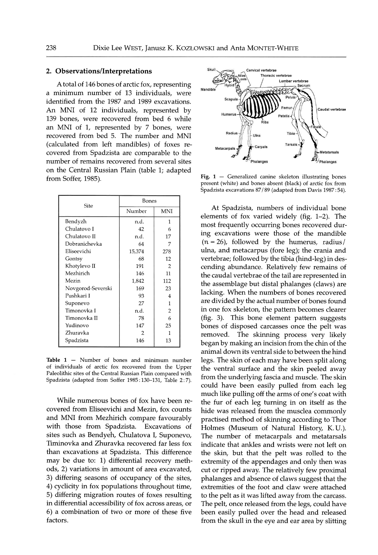## 2. Ob servations/Interpretations

Atotal of 146 bones of arctic fox, representing a minimum number of 13 individuals, were identified from the 1987 and 1989 excavations. An MNI of 12 individuals, represented by 139 bones, were recovered from bed 6 while an MNI of 1, represented by  $7$  bones, were recovered from bed 5. The number and MNI (calculated from left mandibles) of foxes recovered from Spadzista are comparable to the number of remains recovered from several sites on the Central Russian Plain (table 1; adapted from Soffer, 1985).

| Site              | Bones  |                |
|-------------------|--------|----------------|
|                   | Number | <b>MNI</b>     |
| Bendyzh           | n.d.   | 1              |
| Chulatovo I       | 42     | 6              |
| Chulatovo II      | n.d.   | 17             |
| Dobranichevka     | 64     | 7              |
| Eliseevichi       | 15,374 | 278            |
| Gontsy            | 68     | 12             |
| Khotylevo II      | 191    | 2              |
| Mezhirich         | 146    | 11             |
| Mezin             | 1,842  | 112            |
| Novgorod-Severski | 169    | 23             |
| Pushkari I        | 93     | 4              |
| Suponevo          | 27     | 1              |
| Timonovka I       | n.d.   | $\overline{2}$ |
| Timonovka II      | 78     | 6              |
| Yudinovo          | 147    | 25             |
| Zhuravka          | 2      | 1              |
| Spadzista         | 146    | 13             |
|                   |        |                |

Table  $1$  - Number of bones and minimum number of individuals of arctic fox recovered from the Upper Paleolithic sites of the Central Russian Plain compared with Spadzista (adapted from Soffer 1985:130-131, Table 2:7).

While numerous bones of fox have been recovered from Eliseevichi and Mezin, fox counts and MNI from Mezhirich compare favourably with those from Spadzista. Excavations of sites such as Bendyeh, Chulatova I, Suponevo, Timinovka and Zhuravka recovered far less fox than excavations at Spadzista. This difference may be due to: 1) differential recovery methods, 2) variations in amount of area excavated, 3) differing seasons of occupancy of the sites, 4) cyclicity in fox populations throughout time, 5) differing migration routes of foxes resulting in differential accessibility of fox across areas, or 6) a combination of two or more of these five factors.



Fig.  $1$  - Generalized canine skeleton illustrating bones present (white) and bones absent (black) of arctic fox from Spadzista excavations 87 189 (adapted from Davis 1987 :54).

At Spadzista, numbers of individual bone elements of fox varied widely (fig.  $1-2$ ). The most frequently occurring bones recovered durirg excavations were those of the mandible  $(n=26)$ , followed by the humerus, radius/ ulna, and metacarpus (fore leg); the crania and vertebrae; followed by the tibia (hind-leg) in descending abundance. Relatively few remains of the caudal vertebrae of the tail are represented in the assemblage but distal phalanges (claws) are lacking. When the numbers of bones recovered are divided by the actual number of bones found in one fox skeleton, the pattern becomes clearer (fig. 3). This bone element pattern suggests bones of disposed carcasses once the pelt was removed. The skinning process very likely began by making an incision from the chin of the animal down its ventral side to between the hind legs. The skin of each may have been split along the ventral surface and the skin peeled away from the underlying fascia and muscle. The skin could have been easily pulled from each leg much like pulling off the arms of one's coat with the fur of each leg turning in on itself as the hide was released from the musclea commonlv practised method of skinning according to Thor Holmes (Museum of Natural History, K.U.). The number of metacarpals and metatarsals indicate that ankles and wrists were not left on the skiry but that the pelt was rolled to the extremity of the appendages and only then was cut or ripped away. The relatively few proximal phalanges and absence of claws suggest that the extremities of the foot and claw were attached to the pelt as it was lifted away from the carcass. The pelt, once released from the legs, could have been easily pulled over the head and released from the skull in the eye and ear area by slitting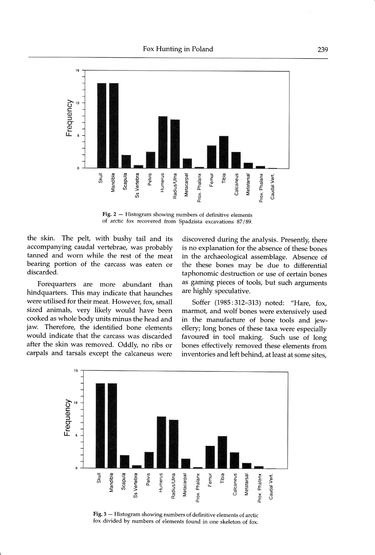

Fig.  $2 -$  Histogram showing numbers of definitive elements of arctic fox recovered from Spadzista excavations 87189.

the skin. The pelt, with bushy tail and its accompanying caudal vertebrae, was probably tanned and worn while the rest of the meat bearing portion of the carcass was eaten or discarded.

Forequarters are more abundant than hindquarters. This may indicate that haunches were utilised for their meat. However, fox, small sized animals, very likely would have been cooked as whole body units minus the head and jaw. Therefore, the identified bone elements would indicate that the carcass was discarded after the skin was removed. Oddly, no ribs or carpals and tarsals except the calcaneus were

discovered during the analysis. Presently, there is no explanation for the absence of these bones in the archaeological assemblage. Absence of the these bones may be due to differential taphonomic destruction or use of certain bones as gaming pieces of tools, but such arguments are highly speculative.

Soffer (1985:312-313) noted: "Hare, fox, marmot, and wolf bones were extensively used in the manufacture of bone tools and jewellery; long bones of these taxa were especially favoured in tool making. Such use of long bones effectively removed these elements from inventories and left behind, at least at some sites,



Fig. 3 - Histogram showing numbers of definitive elements of arctic fox divided by numbers of elements found in one skeleton of fox.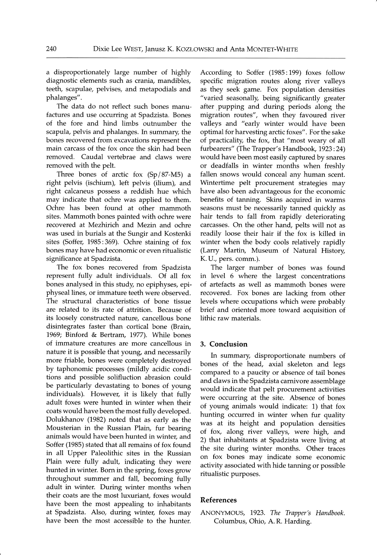a disproportionately large number of highly diagnostic elements such as crania, mandibles, teeth, scapulae, pelvises, and metapodials and phalanges".

The data do not reflect such bones manufactures and use occurring at Spadzista. Bones of the fore and hind limbs outnumber the scapula, pelvis and phalanges. In summary, the bones recovered from excavations represent the main carcass of the fox once the skin had been removed. Caudal vertebrae and claws were removed with the pelt.

Three bones of arctic fox (Sp/87-M5) a right pelvis (ischium), left pelvis (ilium), and right calcaneus possess a reddish hue which may indicate that ochre was applied to them. Ochre has been found at other mammoth sites. Mammoth bones painted with ochre were recovered at Mezhirich and Mezin and ochre was used in burials at the Sungir and Kostenki sites (Soffer, 1985:369). Ochre staining of fox bones may have had economic or even ritualistic significance at Spadzista.

The fox bones recovered from Spadzista represent fully adult individuals. Of all fox bones analysed in this study, no epiphyses, epiphyseal lines, or immature teeth were observed. The structural characteristics of bone tissue are related to its rate of attrition. Because of its loosely constructed nature, cancellous bone disintegrates faster than cortical bone (Brain, 1969; Binford & Bertram, 1977). While bones of immature creatures are more cancellous in nature it is possible that young, and necessarily more friable, bones were completely destroyed by taphonomic processes (mildly acidic conditions and possible solifluction abrasion could be particularly devastating to bones of young individuals). However, it is likely that fully adult foxes were hunted in winter when their coats would have been the most fully developed. Dolukhanov (1982) noted that as early as the Mousterian in the Russian Plain, fur bearing animals would have been hunted in winter, and Soffer (1985) stated that all remains of fox found in all Upper Paleolithic sites in the Russian Plain were fully adult, indicating they were hunted in winter. Born in the spring, foxes grow throughout summer and fall, becoming fully adult in winter. During winter months when their coats are the most luxuriant, foxes would have been the most appealing to inhabitants at Spadzista. Also, during winter, foxes may have been the most accessible to the hunter.

According to Soffer (1985:199) foxes follow specific migration routes along river valleys as they seek game. Fox population densities "varied seasonally, being significantly greater after pupping and during periods along the migration routes", when they favoured river valleys and "early winter would have been optimal for harvesting arctic foxes". For the sake of practicallty, the fox, that "most weary of all furbearers" (The Trapper's Handbook, 1923:24) would have been most easily captured by snares or deadfalls in winter months when freshly fallen snows would conceal any human scent. Wintertime pelt procurement strategies may have also been advantageous for the economic benefits of tanning. Skins acquired in warms seasons must be necessarily tanned quickly as hair tends to fall from rapidly deteriorating carcasses. On the other hand, pelts will not as readily loose their hair if the fox is killed in winter when the body cools relatively rapidly (Larry Martin, Museum of Natural History, K.U., pers. comm.).

The larger number of bones was found in level 6 where the largest concentrations of artefacts as well as mammoth bones were recovered. Fox bones are lacking from other levels where occupations which were probably brief and oriented more toward acquisition of lithic raw materials.

### 3. Conclusion

In summary, disproportionate numbers of bones of the head, axial skeleton and legs compared to a paucity or absence of tail bones and claws in the Spadzista carnivore assemblage would indicate that pelt procurement activities were occurring at the site. Absence of bones of young animals would indicate: 1) that fox hunting occurred in winter when fur quality was at its height and population densities of fox, along river valleys, were high, and 2) that inhabitants at Spadzista were living at the site during winter months. Other traces on fox bones may indicate some economic activity associated with hide tanning or possible ritualistic purposes.

#### References

ANONYMOUS, 1923. The Trapper's Handbook. Columbus, Ohio, A. R. Harding.